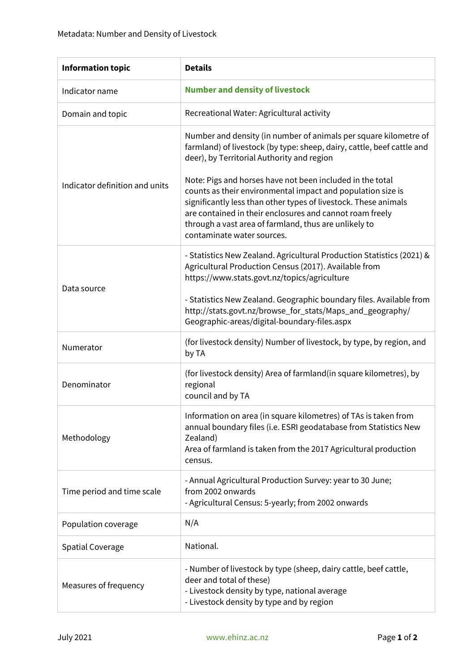| <b>Information topic</b>       | <b>Details</b>                                                                                                                                                                                                                                                                                                                                 |
|--------------------------------|------------------------------------------------------------------------------------------------------------------------------------------------------------------------------------------------------------------------------------------------------------------------------------------------------------------------------------------------|
| Indicator name                 | <b>Number and density of livestock</b>                                                                                                                                                                                                                                                                                                         |
| Domain and topic               | Recreational Water: Agricultural activity                                                                                                                                                                                                                                                                                                      |
| Indicator definition and units | Number and density (in number of animals per square kilometre of<br>farmland) of livestock (by type: sheep, dairy, cattle, beef cattle and<br>deer), by Territorial Authority and region                                                                                                                                                       |
|                                | Note: Pigs and horses have not been included in the total<br>counts as their environmental impact and population size is<br>significantly less than other types of livestock. These animals<br>are contained in their enclosures and cannot roam freely<br>through a vast area of farmland, thus are unlikely to<br>contaminate water sources. |
| Data source                    | - Statistics New Zealand. Agricultural Production Statistics (2021) &<br>Agricultural Production Census (2017). Available from<br>https://www.stats.govt.nz/topics/agriculture                                                                                                                                                                 |
|                                | - Statistics New Zealand. Geographic boundary files. Available from<br>http://stats.govt.nz/browse_for_stats/Maps_and_geography/<br>Geographic-areas/digital-boundary-files.aspx                                                                                                                                                               |
| Numerator                      | (for livestock density) Number of livestock, by type, by region, and<br>by TA                                                                                                                                                                                                                                                                  |
| Denominator                    | (for livestock density) Area of farmland (in square kilometres), by<br>regional<br>council and by TA                                                                                                                                                                                                                                           |
| Methodology                    | Information on area (in square kilometres) of TAs is taken from<br>annual boundary files (i.e. ESRI geodatabase from Statistics New<br>Zealand)<br>Area of farmland is taken from the 2017 Agricultural production<br>census.                                                                                                                  |
| Time period and time scale     | - Annual Agricultural Production Survey: year to 30 June;<br>from 2002 onwards<br>- Agricultural Census: 5-yearly; from 2002 onwards                                                                                                                                                                                                           |
| Population coverage            | N/A                                                                                                                                                                                                                                                                                                                                            |
| <b>Spatial Coverage</b>        | National.                                                                                                                                                                                                                                                                                                                                      |
| Measures of frequency          | - Number of livestock by type (sheep, dairy cattle, beef cattle,<br>deer and total of these)<br>- Livestock density by type, national average<br>- Livestock density by type and by region                                                                                                                                                     |